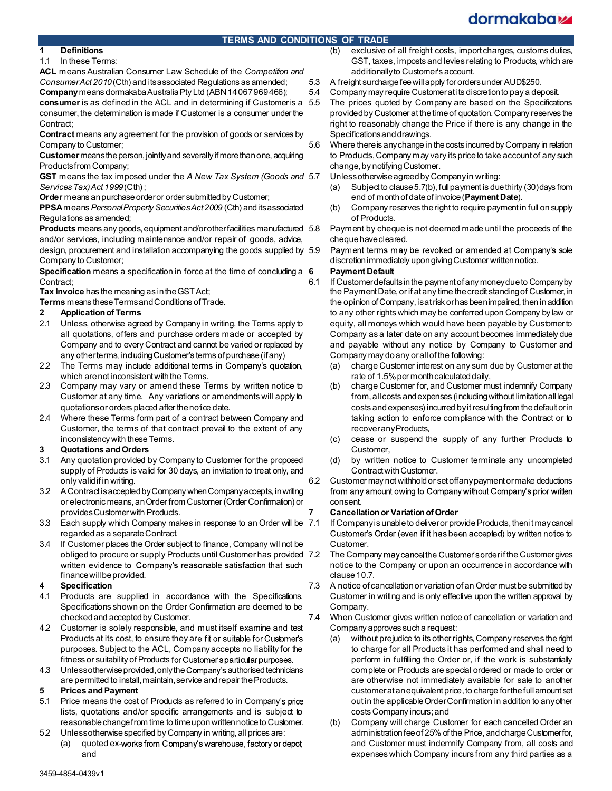# dormakaba<sub>k</sub>

# TERMS AND CONDITIONS OF TRADE

# 1 Definitions

#### 1.1 In these Terms:

ACL means Australian Consumer Law Schedule of the Competition and Consumer Act 2010 (Cth) and its associated Regulations as amended; Company means dormakaba Australia Pty Ltd (ABN 14 067 969 466);

consumer is as defined in the ACL and in determining if Customer is a 5.5 consumer, the determination is made if Customer is a consumer under the Contract:

Contract means any agreement for the provision of goods or services by Company to Customer;

Customer means the person, jointly and severally if more than one, acquiring Products from Company;

GST means the tax imposed under the A New Tax System (Goods and 5.7) Services Tax) Act 1999 (Cth);

Order means an purchase order or order submitted by Customer;

PPSA means Personal Property Securities Act 2009 (Cth) and its associated Regulations as amended;

Products means any goods, equipment and/or other facilities manufactured 5.8 and/or services, including maintenance and/or repair of goods, advice,

design, procurement and installation accompanying the goods supplied by 5.9 Company to Customer;

Specification means a specification in force at the time of concluding a 6 Contract;

Tax Invoice has the meaning as in the GST Act;

Terms means these Terms and Conditions of Trade.

- 2 Application of Terms
- 2.1 Unless, otherwise agreed by Company in writing, the Terms apply to all quotations, offers and purchase orders made or accepted by Company and to every Contract and cannot be varied or replaced by any otherterms, including Customer's terms of purchase (if any).
- 2.2 The Terms may include additional terms in Company's quotation, which are not inconsistent with the Terms.
- 2.3 Company may vary or amend these Terms by written notice to Customer at any time. Any variations or amendments will apply to quotations or orders placed after the notice date.
- 2.4 Where these Terms form part of a contract between Company and Customer, the terms of that contract prevail to the extent of any inconsistency with these Terms.

# 3 Quotations and Orders

- 3.1 Any quotation provided by Company to Customer for the proposed supply of Products is valid for 30 days, an invitation to treat only, and only valid if in writing.
- 3.2 A Contract is accepted by Company when Company accepts, in writing from any amount owing to Company without Company's prior written or electronic means, an Order from Customer (Order Confirmation) or provides Customer with Products.
- 3.3 Each supply which Company makes in response to an Order will be 7.1 regarded as a separate Contract.
- 3.4 If Customer places the Order subject to finance, Company will not be obliged to procure or supply Products until Customer has provided 7.2 written evidence to Company's reasonable satisfaction that such finance will be provided.

# **Specification**

- 4.1 Products are supplied in accordance with the Specifications. Specifications shown on the Order Confirmation are deemed to be checked and accepted by Customer.
- 4.2 Customer is solely responsible, and must itself examine and test Products at its cost, to ensure they are fit or suitable for Customer's purposes. Subject to the ACL, Company accepts no liability for the fitness or suitability of Products for Customer's particular purposes.
- 4.3 Unless otherwise provided, only the Company's authorised technicians are permitted to install, maintain, service and repair the Products.

# 5 Prices and Payment

- 5.1 Price means the cost of Products as referred to in Company's price lists, quotations and/or specific arrangements and is subject to reasonable change from time to time upon written notice to Customer.
- 5.2 Unless otherwise specified by Company in writing, all prices are:
	- (a) quoted ex-works from Company's warehouse, factory or depot and
- (b) exclusive of all freight costs, import charges, customs duties, GST, taxes, imposts and levies relating to Products, which are additionally to Customer's account.
- 5.3 A freight surcharge fee will apply for orders under AUD\$250.
- 5.4 Company may require Customer at its discretion to pay a deposit.
- The prices quoted by Company are based on the Specifications provided by Customer at the time of quotation. Company reserves the right to reasonably change the Price if there is any change in the Specifications and drawings.
- 5.6 Where there is any change in the costs incurred by Company in relation to Products, Company may vary its price to take account of any such change, by notifying Customer.

Unless otherwise agreed by Company in writing:

- (a) Subject to clause 5.7(b), full payment is due thirty (30) days from end of month of date of invoice (Payment Date).
- Company reserves the right to require payment in full on supply of Products.
- 5.8 Payment by cheque is not deemed made until the proceeds of the cheque have cleared.
- Payment terms may be revoked or amended at Company's sole discretion immediately upon giving Customer written notice.

# 6 Payment Default

- 6.1 If Customer defaults in the payment of any money due to Company by the Payment Date, or if at any time the credit standing of Customer, in the opinion of Company, is at risk or has been impaired, then in addition to any other rights which may be conferred upon Company by law or equity, all moneys which would have been payable by Customer to Company as a later date on any account becomes immediately due and payable without any notice by Company to Customer and Company may do any or all of the following:
	- (a) charge Customer interest on any sum due by Customer at the rate of 1.5% per month calculated daily,
	- charge Customer for, and Customer must indemnify Company from, all costs and expenses (including without limitation all legal costs and expenses) incurred by it resulting from the default or in taking action to enforce compliance with the Contract or to recover any Products,
	- (c) cease or suspend the supply of any further Products to Customer,
	- by written notice to Customer terminate any uncompleted Contract with Customer.
- 6.2 Customer may not withhold or set off any payment or make deductions consent.

# **Cancellation or Variation of Order**

- If Company is unable to deliver or provide Products, then it may cancel Customer's Order (even if it has been accepted) by written notice to Customer.
- The Company may cancel the Customer's order if the Customer gives notice to the Company or upon an occurrence in accordance with clause 10.7.
- 7.3 A notice of cancellation or variation of an Order must be submitted by Customer in writing and is only effective upon the written approval by Company.
- 7.4 When Customer gives written notice of cancellation or variation and Company approves such a request:
	- (a) without prejudice to its other rights, Company reserves the right to charge for all Products it has performed and shall need to perform in fulfilling the Order or, if the work is substantially complete or Products are special ordered or made to order or are otherwise not immediately available for sale to another customer at an equivalent price, to charge for the full amount set out in the applicable Order Confirmation in addition to any other costs Company incurs; and
	- Company will charge Customer for each cancelled Order an administration fee of 25% of the Price, and charge Customer for, and Customer must indemnify Company from, all costs and expenses which Company incurs from any third parties as a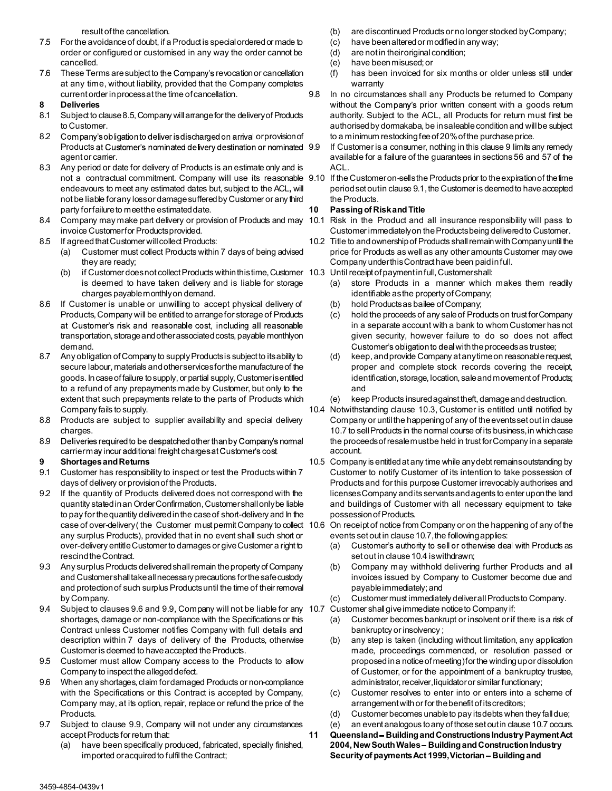result of the cancellation.

- 7.5 For the avoidance of doubt, if a Product is special ordered or made to order or configured or customised in any way the order cannot be cancelled.
- 7.6 These Terms are subject to the Company's revocation or cancellation (f) at any time, without liability, provided that the Company completes current order in process at the time of cancellation.

#### 8 Deliveries

- 8.1 Subject to clause 8.5, Company will arrange for the delivery of Products to Customer.
- 8.2 Company's obligation to deliver is discharged on arrival or provision of Products at Customer's nominated delivery destination or nominated 9.9 agent or carrier.
- 8.3 Any period or date for delivery of Products is an estimate only and is endeavours to meet any estimated dates but, subject to the ACL, will not be liable for any loss or damage suffered by Customer or any third party for failure to meet the estimated date.
- 8.4 Company may make part delivery or provision of Products and may 10.1 Risk in the Product and all insurance responsibility will pass to invoice Customer for Products provided.
- 8.5 If agreed that Customer will collect Products:
	- (a) Customer must collect Products within 7 days of being advised they are ready;
	- (b) if Customer does not collect Products within this time, Customer 10.3 is deemed to have taken delivery and is liable for storage charges payable monthly on demand.
- 8.6 If Customer is unable or unwilling to accept physical delivery of (b) Products, Company will be entitled to arrange for storage of Products at Customer's risk and reasonable cost, including all reasonable transportation, storage and other associated costs, payable monthly on demand.
- 8.7 Any obligation of Company to supply Products is subject to its ability to  $\qquad \qquad$  (d) secure labour, materials and other services for the manufacture of the goods. In case of failure to supply, or partial supply, Customer is entitled to a refund of any prepayments made by Customer, but only to the extent that such prepayments relate to the parts of Products which (e) Company fails to supply.
- 8.8 Products are subject to supplier availability and special delivery charges.
- 8.9 Deliveries required to be despatched other than by Company's normal carriermay incur additional freight charges at Customer's cost.

# 9 Shortages and Returns

- 9.1 Customer has responsibility to inspect or test the Products within 7 days of delivery or provision of the Products.
- 9.2 If the quantity of Products delivered does not correspond with the quantity stated in an Order Confirmation, Customer shall only be liable to pay for the quantity delivered in the case of short-delivery and In the any surplus Products), provided that in no event shall such short or over-delivery entitle Customer to damages or give Customer a right to rescind the Contract.
- 9.3 Any surplus Products delivered shall remain the property of Company and Customer shall take all necessary precautions for the safe custody and protection of such surplus Products until the time of their removal by Company.
- 9.4 Subject to clauses 9.6 and 9.9, Company will not be liable for any 10.7 Customer shall give immediate notice to Company if: shortages, damage or non-compliance with the Specifications or this (a) Contract unless Customer notifies Company with full details and description within 7 days of delivery of the Products, otherwise Customer is deemed to have accepted the Products.
- 9.5 Customer must allow Company access to the Products to allow Company to inspect the alleged defect.
- 9.6 When any shortages, claim for damaged Products or non-compliance with the Specifications or this Contract is accepted by Company, (c) Company may, at its option, repair, replace or refund the price of the Products.
- 9.7 Subject to clause 9.9, Company will not under any circumstances (e) accept Products for return that:
	- have been specifically produced, fabricated, specially finished, imported or acquired to fulfil the Contract;
- (b) are discontinued Products or no longer stocked by Company;
- have been altered or modified in any way;
- are not in their original condition;
- (e) have been misused; or
- has been invoiced for six months or older unless still under warranty
- In no circumstances shall any Products be returned to Company without the Company's prior written consent with a goods return authority. Subject to the ACL, all Products for return must first be authorised by dormakaba, be in saleable condition and will be subject to a minimum restocking fee of 20% of the purchase price.
	- If Customer is a consumer, nothing in this clause 9 limits any remedy available for a failure of the guarantees in sections 56 and 57 of the ACL.
- not a contractual commitment. Company will use its reasonable 9.10 If the Customeron-sells the Products prior to the $\,$ expiration $\,$ of the $\,$ ime period set out in clause 9.1, the Customer is deemed to have accepted the Products.

# 10 Passing of Risk and Title

- Customer immediately on the Products being delivered to Customer.
- 10.2 Title to and ownership of Products shall remain with Company until the price for Products as well as any other amounts Customer may owe Company under this Contract have been paid in full.
	- Until receipt of payment in full, Customer shall:
		- store Products in a manner which makes them readily identifiable as the property of Company;
		- hold Products as bailee of Company;
		- hold the proceeds of any sale of Products on trust for Company in a separate account with a bank to whom Customer has not given security, however failure to do so does not affect Customer's obligation to deal with the proceeds as trustee;
		- keep, and provide Company at any time on reasonable request, proper and complete stock records covering the receipt, identification, storage, location, sale and movement of Products; and
		- keep Products insured against theft, damage and destruction.
- 10.4 Notwithstanding clause 10.3, Customer is entitled until notified by Company or until the happening of any of the events set out in clause 10.7 to sell Products in the normal course of its business, in which case the proceeds of resale mustbe held in trust for Company in a separate account.
- 10.5 Company is entitled at any time while any debt remains outstanding by Customer to notify Customer of its intention to take possession of Products and for this purpose Customer irrevocably authorises and licenses Company and its servants and agents to enter upon the land and buildings of Customer with all necessary equipment to take possession of Products.
- case of over-delivery( the Customer must permit Company to collect 10.6 On receipt of notice from Company or on the happening of any of the events set out in clause 10.7, the following applies:
	- Customer's authority to sell or otherwise deal with Products as set out in clause 10.4 is withdrawn;
	- Company may withhold delivering further Products and all invoices issued by Company to Customer become due and payable immediately; and
	- (c) Customer must immediately deliver all Products to Company.
	- - Customer becomes bankrupt or insolvent or if there is a risk of bankruptcy or insolvency ;
		- any step is taken (including without limitation, any application made, proceedings commenced, or resolution passed or proposed in a notice of meeting) for the winding up or dissolution of Customer, or for the appointment of a bankruptcy trustee, administrator, receiver, liquidator or similar functionary;
		- Customer resolves to enter into or enters into a scheme of arrangement with or for the benefit of its creditors;
		- (d) Customer becomes unable to pay its debts when they fall due;
	- an event analogous to any of those set out in clause 10.7 occurs.
	- 11 Queensland Building and Constructions Industry Payment Act 2004, New South Wales - Building and Construction Industry Security of payments Act 1999, Victorian - Building and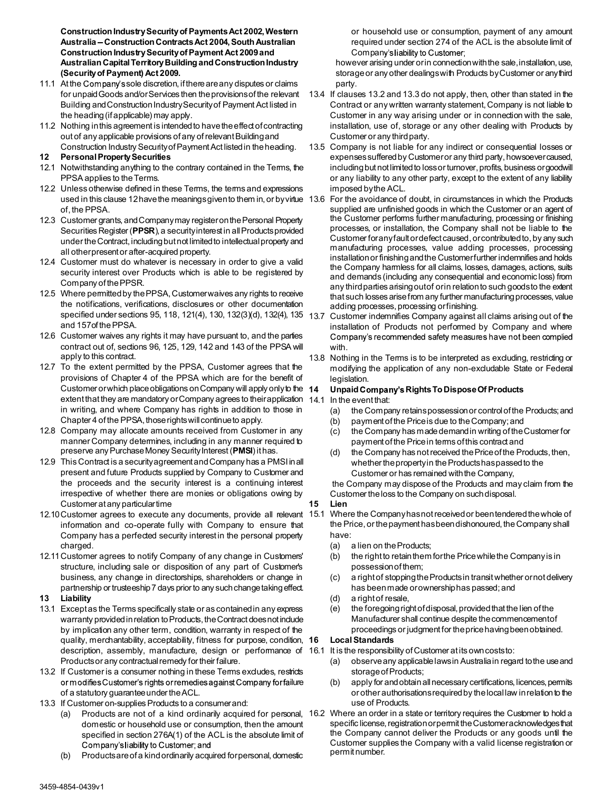Construction Industry Security of Payments Act 2002, Western Australia – Construction Contracts Act 2004, South Australian Construction Industry Security of Payment Act 2009 and Australian Capital Territory Building and Construction Industry (Security of Payment) Act 2009.

- 11.1 At the Company's sole discretion, if there are any disputes or claims for unpaid Goods and/or Services then the provisions of the relevant Building and Construction Industry Security of Payment Act listed in the heading (if applicable) may apply.
- 11.2 Nothing in this agreement is intended to have the effect of contracting out of any applicable provisions of any of relevant Building and Construction Industry Security of Payment Act listed in the heading.

### 12 Personal Property Securities

- 12.1 Notwithstanding anything to the contrary contained in the Terms, the PPSA applies to the Terms.
- 12.2 Unless otherwise defined in these Terms, the terms and expressions used in this clause 12 have the meanings given to them in, or by virtue 13.6 of, the PPSA.
- 12.3 Customer grants, and Company may register on the Personal Property Securities Register (PPSR), a security interest in all Products provided under the Contract, including but not limited to intellectual property and all other present or after-acquired property.
- 12.4 Customer must do whatever is necessary in order to give a valid security interest over Products which is able to be registered by Company of the PPSR.
- 12.5 Where permitted by the PPSA, Customer waives any rights to receive the notifications, verifications, disclosures or other documentation specified under sections 95, 118, 121(4), 130, 132(3)(d), 132(4), 135 137 and 157of the PPSA.
- 12.6 Customer waives any rights it may have pursuant to, and the parties Company's recommended safety measures have not been complied contract out of, sections 96, 125, 129, 142 and 143 of the PPSA will apply to this contract.
- 12.7 To the extent permitted by the PPSA, Customer agrees that the provisions of Chapter 4 of the PPSA which are for the benefit of Customer or which place obligations on Company will apply only to the 14 extent that they are mandatory or Company agrees to their application 14.1 In the event that: in writing, and where Company has rights in addition to those in (a) Chapter 4 of the PPSA, those rights will continue to apply.
- 12.8 Company may allocate amounts received from Customer in any manner Company determines, including in any manner required to preserve any Purchase Money Security Interest (PMSI) it has. (d)
- 12.9 This Contract is a security agreement and Company has a PMSI in all present and future Products supplied by Company to Customer and the proceeds and the security interest is a continuing interest irrespective of whether there are monies or obligations owing by Customer at any particular time
- 12.10 Customer agrees to execute any documents, provide all relevant 15.1 Where the Company has not received or been tendered the whole of information and co-operate fully with Company to ensure that Company has a perfected security interest in the personal property charged.
- 12.11 Customer agrees to notify Company of any change in Customers' structure, including sale or disposition of any part of Customer's business, any change in directorships, shareholders or change in partnership or trusteeship 7 days prior to any such change taking effect.

# 13 Liability

- 13.1 Except as the Terms specifically state or as contained in any express (e) warranty provided in relation to Products, the Contract does not include by implication any other term, condition, warranty in respect of the quality, merchantability, acceptability, fitness for purpose, condition, 16 description, assembly, manufacture, design or performance of 16.1 It is the responsibility of Customer at its own costs to: Products or any contractual remedy for their failure.
- 13.2 If Customer is a consumer nothing in these Terms excludes, restricts of a statutory guarantee under the ACL.
- 13.3 If Customer on-supplies Products to a consumer and:
	- domestic or household use or consumption, then the amount specified in section 276A(1) of the ACL is the absolute limit of Company's liability to Customer; and
	- (b) Products are of a kind ordinarily acquired for personal, domestic

or household use or consumption, payment of any amount required under section 274 of the ACL is the absolute limit of Company's liability to Customer;

however arising under or in connection with the sale, installation, use, storage or any other dealings with Products by Customer or any third party.

- 13.4 If clauses 13.2 and 13.3 do not apply, then, other than stated in the Contract or any written warranty statement, Company is not liable to Customer in any way arising under or in connection with the sale, installation, use of, storage or any other dealing with Products by Customer or any third party.
- 13.5 Company is not liable for any indirect or consequential losses or expenses suffered by Customer or any third party, howsoever caused, including but not limited to loss or turnover, profits, business or goodwill or any liability to any other party, except to the extent of any liability imposed by the ACL.
- For the avoidance of doubt, in circumstances in which the Products supplied are unfinished goods in which the Customer or an agent of the Customer performs further manufacturing, processing or finishing processes, or installation, the Company shall not be liable to the Customer for any fault or defect caused, or contributed to, by any such manufacturing processes, value adding processes, processing installation or finishing and the Customer further indemnifies and holds the Company harmless for all claims, losses, damages, actions, suits and demands (including any consequential and economic loss) from any third parties arising out of or in relation to such goods to the extent that such losses arise from any further manufacturing processes, value adding processes, processing or finishing.
- Customer indemnifies Company against all claims arising out of the installation of Products not performed by Company and where with.
- 13.8 Nothing in the Terms is to be interpreted as excluding, restricting or modifying the application of any non-excludable State or Federal legislation.

#### Unpaid Company's Rights To Dispose Of Products

- - the Company retains possession or control of the Products; and
	- payment of the Price is due to the Company; and
	- the Company has made demand in writing of the Customer for payment of the Price in terms of this contract and
	- the Company has not received the Price of the Products, then, whether the property in the Products has passed to the Customer or has remained with the Company,

 the Company may dispose of the Products and may claim from the Customer the loss to the Company on such disposal.

#### 15 Lien

- the Price, or the payment has been dishonoured, the Company shall have:
	- (a) a lien on the Products;
	- the right to retain them for the Price while the Company is in possession of them;
	- a right of stopping the Products in transit whether or not delivery has been made or ownership has passed; and
	- (d) a right of resale,
	- the foregoing right of disposal, provided that the lien of the Manufacturer shall continue despite the commencement of proceedings or judgment for the price having been obtained.

#### **Local Standards**

- - observe any applicable laws in Australia in regard to the use and storage of Products;
- ilure (b) apply for and obtain all necessary certifications, licences, permits or other authorisations required by the local law in relation to the use of Products.
- (a) Products are not of a kind ordinarily acquired for personal, 16.2 Where an order in a state or territory requires the Customer to hold a specific license, registration or permit the Customer acknowledges that the Company cannot deliver the Products or any goods until the Customer supplies the Company with a valid license registration or permit number.